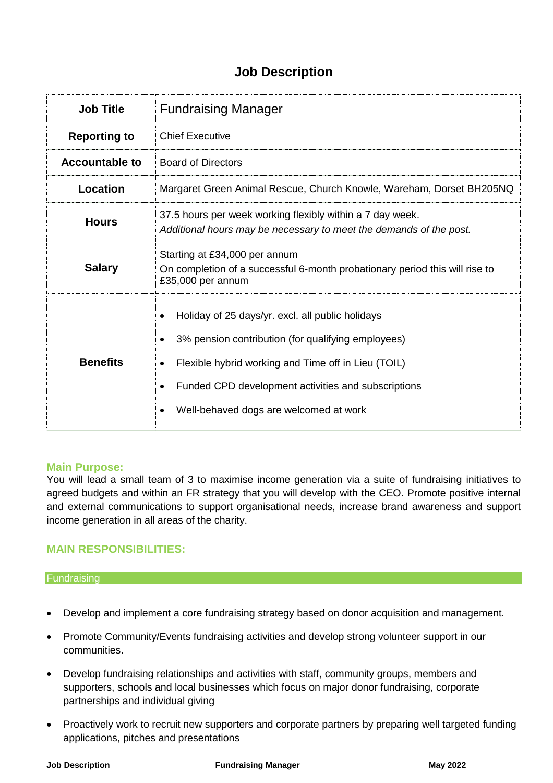# **Job Description**

| <b>Job Title</b>      | <b>Fundraising Manager</b>                                                                                                                                                                                                                                     |
|-----------------------|----------------------------------------------------------------------------------------------------------------------------------------------------------------------------------------------------------------------------------------------------------------|
| <b>Reporting to</b>   | <b>Chief Executive</b>                                                                                                                                                                                                                                         |
| <b>Accountable to</b> | <b>Board of Directors</b>                                                                                                                                                                                                                                      |
| Location              | Margaret Green Animal Rescue, Church Knowle, Wareham, Dorset BH205NQ                                                                                                                                                                                           |
| <b>Hours</b>          | 37.5 hours per week working flexibly within a 7 day week.<br>Additional hours may be necessary to meet the demands of the post.                                                                                                                                |
| <b>Salary</b>         | Starting at £34,000 per annum<br>On completion of a successful 6-month probationary period this will rise to<br>£35,000 per annum                                                                                                                              |
| <b>Benefits</b>       | Holiday of 25 days/yr. excl. all public holidays<br>3% pension contribution (for qualifying employees)<br>Flexible hybrid working and Time off in Lieu (TOIL)<br>Funded CPD development activities and subscriptions<br>Well-behaved dogs are welcomed at work |

### **Main Purpose:**

You will lead a small team of 3 to maximise income generation via a suite of fundraising initiatives to agreed budgets and within an FR strategy that you will develop with the CEO. Promote positive internal and external communications to support organisational needs, increase brand awareness and support income generation in all areas of the charity.

### **MAIN RESPONSIBILITIES:**

#### **Fundraising**

- Develop and implement a core fundraising strategy based on donor acquisition and management.
- Promote Community/Events fundraising activities and develop strong volunteer support in our communities.
- Develop fundraising relationships and activities with staff, community groups, members and supporters, schools and local businesses which focus on major donor fundraising, corporate partnerships and individual giving
- Proactively work to recruit new supporters and corporate partners by preparing well targeted funding applications, pitches and presentations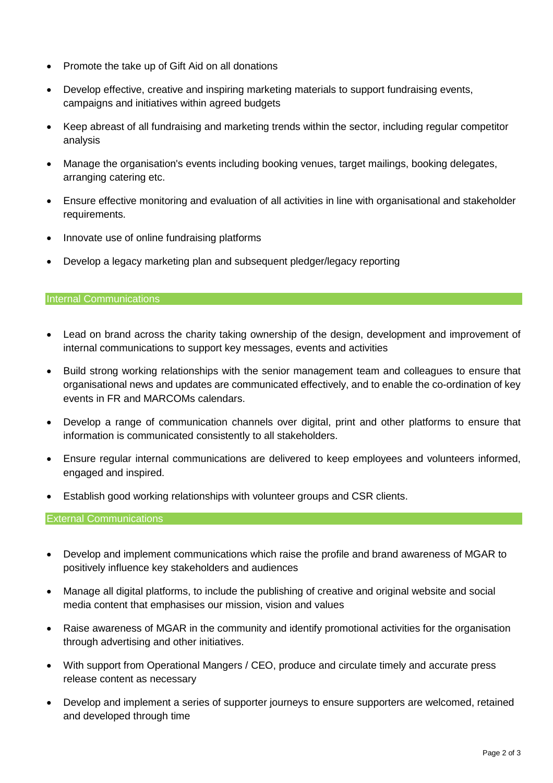- Promote the take up of Gift Aid on all donations
- Develop effective, creative and inspiring marketing materials to support fundraising events, campaigns and initiatives within agreed budgets
- Keep abreast of all fundraising and marketing trends within the sector, including regular competitor analysis
- Manage the organisation's events including booking venues, target mailings, booking delegates, arranging catering etc.
- Ensure effective monitoring and evaluation of all activities in line with organisational and stakeholder requirements.
- Innovate use of online fundraising platforms
- Develop a legacy marketing plan and subsequent pledger/legacy reporting

#### Internal Communications

- Lead on brand across the charity taking ownership of the design, development and improvement of internal communications to support key messages, events and activities
- Build strong working relationships with the senior management team and colleagues to ensure that organisational news and updates are communicated effectively, and to enable the co-ordination of key events in FR and MARCOMs calendars.
- Develop a range of communication channels over digital, print and other platforms to ensure that information is communicated consistently to all stakeholders.
- Ensure regular internal communications are delivered to keep employees and volunteers informed, engaged and inspired.
- Establish good working relationships with volunteer groups and CSR clients.

### External Communications

- Develop and implement communications which raise the profile and brand awareness of MGAR to positively influence key stakeholders and audiences
- Manage all digital platforms, to include the publishing of creative and original website and social media content that emphasises our mission, vision and values
- Raise awareness of MGAR in the community and identify promotional activities for the organisation through advertising and other initiatives.
- With support from Operational Mangers / CEO, produce and circulate timely and accurate press release content as necessary
- Develop and implement a series of supporter journeys to ensure supporters are welcomed, retained and developed through time